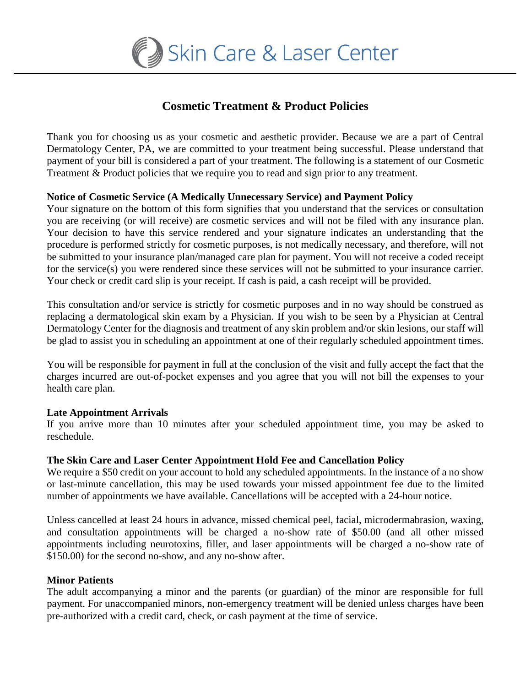

# **Cosmetic Treatment & Product Policies**

Thank you for choosing us as your cosmetic and aesthetic provider. Because we are a part of Central Dermatology Center, PA, we are committed to your treatment being successful. Please understand that payment of your bill is considered a part of your treatment. The following is a statement of our Cosmetic Treatment & Product policies that we require you to read and sign prior to any treatment.

## **Notice of Cosmetic Service (A Medically Unnecessary Service) and Payment Policy**

Your signature on the bottom of this form signifies that you understand that the services or consultation you are receiving (or will receive) are cosmetic services and will not be filed with any insurance plan. Your decision to have this service rendered and your signature indicates an understanding that the procedure is performed strictly for cosmetic purposes, is not medically necessary, and therefore, will not be submitted to your insurance plan/managed care plan for payment. You will not receive a coded receipt for the service(s) you were rendered since these services will not be submitted to your insurance carrier. Your check or credit card slip is your receipt. If cash is paid, a cash receipt will be provided.

This consultation and/or service is strictly for cosmetic purposes and in no way should be construed as replacing a dermatological skin exam by a Physician. If you wish to be seen by a Physician at Central Dermatology Center for the diagnosis and treatment of any skin problem and/or skin lesions, our staff will be glad to assist you in scheduling an appointment at one of their regularly scheduled appointment times.

You will be responsible for payment in full at the conclusion of the visit and fully accept the fact that the charges incurred are out-of-pocket expenses and you agree that you will not bill the expenses to your health care plan.

## **Late Appointment Arrivals**

If you arrive more than 10 minutes after your scheduled appointment time, you may be asked to reschedule.

## **The Skin Care and Laser Center Appointment Hold Fee and Cancellation Policy**

We require a \$50 credit on your account to hold any scheduled appointments. In the instance of a no show or last-minute cancellation, this may be used towards your missed appointment fee due to the limited number of appointments we have available. Cancellations will be accepted with a 24-hour notice.

Unless cancelled at least 24 hours in advance, missed chemical peel, facial, microdermabrasion, waxing, and consultation appointments will be charged a no-show rate of \$50.00 (and all other missed appointments including neurotoxins, filler, and laser appointments will be charged a no-show rate of \$150.00) for the second no-show, and any no-show after.

## **Minor Patients**

The adult accompanying a minor and the parents (or guardian) of the minor are responsible for full payment. For unaccompanied minors, non-emergency treatment will be denied unless charges have been pre-authorized with a credit card, check, or cash payment at the time of service.